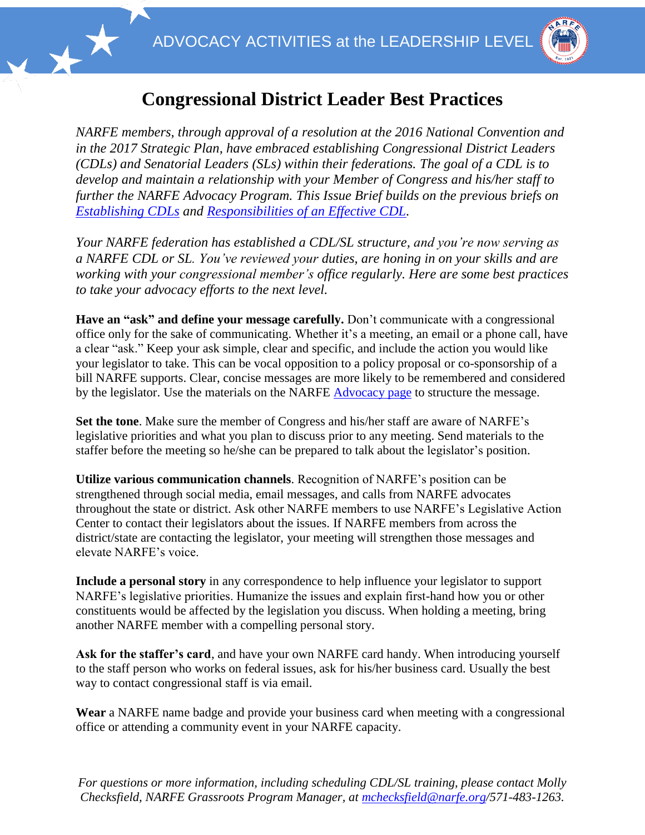



## **Congressional District Leader Best Practices**

*NARFE members, through approval of a resolution at the 2016 National Convention and in the 2017 Strategic Plan, have embraced establishing Congressional District Leaders (CDLs) and Senatorial Leaders (SLs) within their federations. The goal of a CDL is to develop and maintain a relationship with your Member of Congress and his/her staff to further the NARFE Advocacy Program. This Issue Brief builds on the previous briefs on [Establishing CDLs](https://www.narfe.org/pdf/Why_CDLs_for_NARFE.pdf) and [Responsibilities of an Effective CDL.](https://www.narfe.org/pdf/Responsbillities%20of%20Effective%20CDLs.pdf)* 

*Your NARFE federation has established a CDL/SL structure, and you're now serving as a NARFE CDL or SL. You've reviewed your duties, are honing in on your skills and are working with your congressional member's office regularly. Here are some best practices to take your advocacy efforts to the next level.* 

**Have an "ask" and define your message carefully.** Don't communicate with a congressional office only for the sake of communicating. Whether it's a meeting, an email or a phone call, have a clear "ask." Keep your ask simple, clear and specific, and include the action you would like your legislator to take. This can be vocal opposition to a policy proposal or co-sponsorship of a bill NARFE supports. Clear, concise messages are more likely to be remembered and considered by the legislator. Use the materials on the NARFE [Advocacy page](https://www.narfe.org/legislation/) to structure the message.

**Set the tone**. Make sure the member of Congress and his/her staff are aware of NARFE's legislative priorities and what you plan to discuss prior to any meeting. Send materials to the staffer before the meeting so he/she can be prepared to talk about the legislator's position.

**Utilize various communication channels**. Recognition of NARFE's position can be strengthened through social media, email messages, and calls from NARFE advocates throughout the state or district. Ask other NARFE members to use NARFE's Legislative Action Center to contact their legislators about the issues. If NARFE members from across the district/state are contacting the legislator, your meeting will strengthen those messages and elevate NARFE's voice.

**Include a personal story** in any correspondence to help influence your legislator to support NARFE's legislative priorities. Humanize the issues and explain first-hand how you or other constituents would be affected by the legislation you discuss. When holding a meeting, bring another NARFE member with a compelling personal story.

**Ask for the staffer's card**, and have your own NARFE card handy. When introducing yourself to the staff person who works on federal issues, ask for his/her business card. Usually the best way to contact congressional staff is via email.

**Wear** a NARFE name badge and provide your business card when meeting with a congressional office or attending a community event in your NARFE capacity.

*For questions or more information, including scheduling CDL/SL training, please contact Molly Checksfield, NARFE Grassroots Program Manager, at [mchecksfield@narfe.org/](mailto:mchecksfield@narfe.org)571-483-1263.*